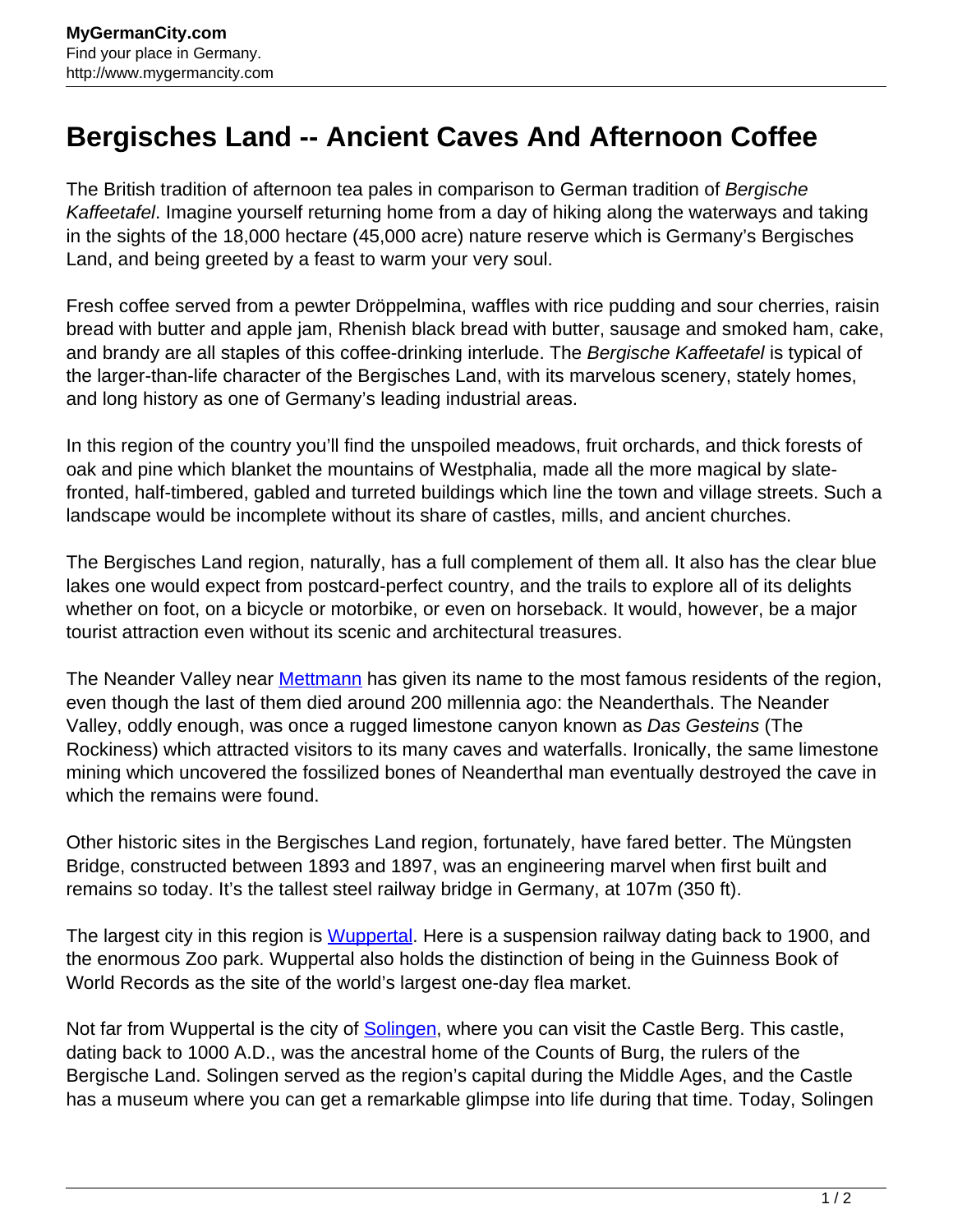## **Bergisches Land -- Ancient Caves And Afternoon Coffee**

The British tradition of afternoon tea pales in comparison to German tradition of Bergische Kaffeetafel. Imagine yourself returning home from a day of hiking along the waterways and taking in the sights of the 18,000 hectare (45,000 acre) nature reserve which is Germany's Bergisches Land, and being greeted by a feast to warm your very soul.

Fresh coffee served from a pewter Dröppelmina, waffles with rice pudding and sour cherries, raisin bread with butter and apple jam, Rhenish black bread with butter, sausage and smoked ham, cake, and brandy are all staples of this coffee-drinking interlude. The Bergische Kaffeetafel is typical of the larger-than-life character of the Bergisches Land, with its marvelous scenery, stately homes, and long history as one of Germany's leading industrial areas.

In this region of the country you'll find the unspoiled meadows, fruit orchards, and thick forests of oak and pine which blanket the mountains of Westphalia, made all the more magical by slatefronted, half-timbered, gabled and turreted buildings which line the town and village streets. Such a landscape would be incomplete without its share of castles, mills, and ancient churches.

The Bergisches Land region, naturally, has a full complement of them all. It also has the clear blue lakes one would expect from postcard-perfect country, and the trails to explore all of its delights whether on foot, on a bicycle or motorbike, or even on horseback. It would, however, be a major tourist attraction even without its scenic and architectural treasures.

The Neander Valley near [Mettmann](http://www.mygermancity.com/mettmann) has given its name to the most famous residents of the region, even though the last of them died around 200 millennia ago: the Neanderthals. The Neander Valley, oddly enough, was once a rugged limestone canyon known as Das Gesteins (The Rockiness) which attracted visitors to its many caves and waterfalls. Ironically, the same limestone mining which uncovered the fossilized bones of Neanderthal man eventually destroyed the cave in which the remains were found.

Other historic sites in the Bergisches Land region, fortunately, have fared better. The Müngsten Bridge, constructed between 1893 and 1897, was an engineering marvel when first built and remains so today. It's the tallest steel railway bridge in Germany, at 107m (350 ft).

The largest city in this region is [Wuppertal](http://www.mygermancity.com/wuppertal). Here is a suspension railway dating back to 1900, and the enormous Zoo park. Wuppertal also holds the distinction of being in the Guinness Book of World Records as the site of the world's largest one-day flea market.

Not far from Wuppertal is the city of [Solingen,](http://www.mygermancity.com/solingen) where you can visit the Castle Berg. This castle, dating back to 1000 A.D., was the ancestral home of the Counts of Burg, the rulers of the Bergische Land. Solingen served as the region's capital during the Middle Ages, and the Castle has a museum where you can get a remarkable glimpse into life during that time. Today, Solingen